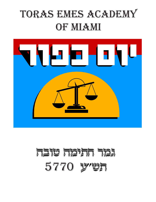# TORAS EMES ACADEMY OF MIAMI



# RGIF FIRERT STEFT 5770 y'UR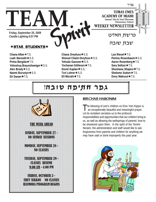

# $\star$ STAR STUDENTS $\star$

THAN

**Friday, September 25, 2009 Candle Lighting 6:57 PM**

**Chana Alber ★T.S.** Leah Baroukh**\***S.S. **Pnina Bergida ★ T.S.** Yehoshua Braunshweiger \* S.S. **Alex Brody ★ S.S. Naomi Bursztyn★**S.S. **Eli Danan★T.S.** 

Chana Dreyfuss **★** S.S. **Shmuel Chaim Dreyfuss ★ S.S.** Yehuda Gassner \* S.S. **Yochanan Gittleson ★T.S. Dovid Kaplan**★S.S. **Tzvi Lehrer ★ S.S. Eli Mizrahi**ÕT.S.

Lea Riesel**\***T.S. **Penina Rosenbaum ★ S.S. Aaron Rosenberg**  $\star$  **T.S. Sara Seltzer ★T.S. Shoshana Shapiro★T.S. Shelomo Sutton ★ T.S. Dovy Wakszul**★T.S.

# גפר **חתיפה טובה!**



#### BIRCHAS HABONIM

The blessing of one's children on Erev Yom Kippur is<br>an exceptionally beautiful and meaningful prayer. Let its recitation sensitize us to the profound responsibilities and opportunities that our children bring to us, as well as allowing the wellsprings of parents' love to be showered upon them. In the spirit of the Yomim Noraim, the administration and staff would like to ask forgiveness from parents and children for anything we may have said or done improperly this past year.

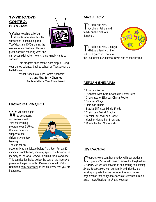# TV/VIDEO/DVD **CONTROL** PROGRAM



Yasher Koach to all of our students who have thus far succeeded in abstaining from TV/Videos and DVD's during the Aseres Yemei Teshuva. This is a great lesson in realizing what one

can accomplish when he or she genuinely wants to succeed.

This program ends Motzei Yom Kippur. Bring your signed calendar back to school on Tuesday for the final drawing.

Yasher Koach to our TV Control sponsors: **Mr. and Mrs. Terry Chemtov Rabbi and Mrs. Tzvi Rosenbaum**

# HASMODA PROJECT

 $\epsilon$  will once again be conducting our semi-annual *Yom Tov* learning program over *Sukkos*. We welcome your support of the children's voluntary learning. There is still an



opportunity to participate before *Yom Tov*. For a \$50 minimum contribution, you may sponsor in honor of, in memory of, or for a *Refuah Shelaima* for a loved one. This contribution helps defray the cost of the incentive prizes for the participants. Please speak with Rabbi Baumann early next week to let him know that you are interested.

# MAZEL TOV

To Rabbi and Mrs.<br>Avrohom Jablon and family on the birth of a daughter.



To Rabbi and Mrs. Gedalya Glatt and family on the birth of a grandson, born to

their daughter, our alumna, Rivka and Michael Parris.

### REFUAH SHELAIMA

- ¨ Tova *bas* Rochel
- ¨ Ruchama Aliza Sara Chana *bas* Esther Leba
- ¨ Chaya Yachet Elka *bas* Chana Rochel
- ¨ Bina *bas* Chaya
- ¨ Liora *bas* Miriam
- ¨ Bracha Shifra *bas* Mindel Fraide
- ¨ Chaim *ben* Breindl Bracha
- ¨ Yechiel Tzvi *ben* Leah Rochel
- ¨ Yitzchak Moshe *ben* Shoshana
- ¨Mordechai *ben* Ora Yehudis

# LEV L'ACHIM

Coupons were sent home today with our students grades 2-5 to help raise Tzedaka for **P'eylim Lev L'Achim.** As we look forward to celebrating this coming *Zman Simchaseinu* with our family and friends, it is most appropriate that we consider this worthwhile organization that brings thousands of Jewish families in *Eretz Yisrael* back to *Torah* and *Mitzvos.*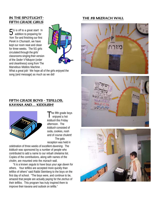# FIFTH GRADE GIRLS

5G is off to a great start! In addition to preparing for *Yom Tov* and finishing our first *Perek* in *Chumash*, we have kept our room neat and clean for three weeks. The 5G girls circulated through the girls' classrooms singing their version of the *Seder V'Nikayon* (order and cleanliness) song from The Marvelous Middos Machine .



What a great job! We hope all of the girls enjoyed the song (and message) as much as we did!

### IN THE SPOTLIGHT-<br>
THE SB MIZRACH WALL







#### FIFTH GRADE BOYS - TEFILLOS, KAVANA AND.... KIDDUSH!



The fifth grade boys enjoyed a hot *kiddush* this Friday afternoon. The *kiddush* consisted of soda, cookies, nosh and of course chulent! The gala reception was held in

celebration of three weeks of excellent *davening*. The *kiddush* was sponsored by a number of people who contributed to add a name to our *refuah shelaima* list. Copies of the contributions, along with names of the *cholim*, are mounted onto the *mizrach* wall.

"It is a known *segula* to have boys your age *daven* for others. Your *tefillos* are accepted more quickly than *tefillos* of others" said Rabbi Steinberg to the boys on the first day of school. "The boys were, and continue to be, amazed that people are actually paying for the *zechus* of their *tefillos*. This program has truly inspired them to improve their *kavana* and outlook on *tefilla*."